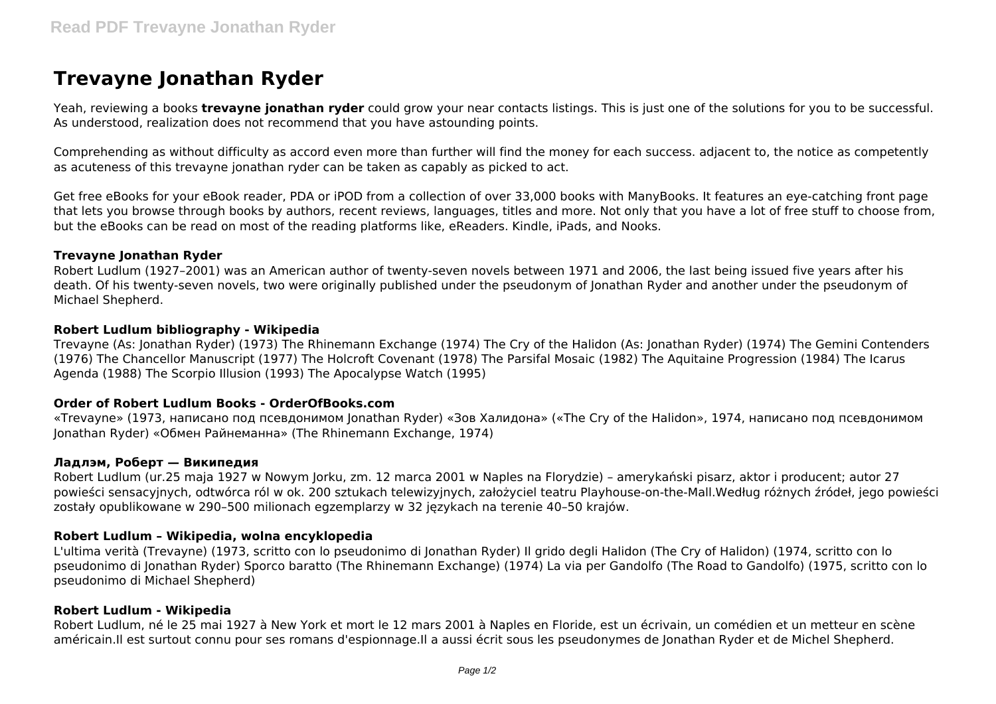# **Trevayne Jonathan Ryder**

Yeah, reviewing a books **trevayne jonathan ryder** could grow your near contacts listings. This is just one of the solutions for you to be successful. As understood, realization does not recommend that you have astounding points.

Comprehending as without difficulty as accord even more than further will find the money for each success. adjacent to, the notice as competently as acuteness of this trevayne jonathan ryder can be taken as capably as picked to act.

Get free eBooks for your eBook reader, PDA or iPOD from a collection of over 33,000 books with ManyBooks. It features an eye-catching front page that lets you browse through books by authors, recent reviews, languages, titles and more. Not only that you have a lot of free stuff to choose from, but the eBooks can be read on most of the reading platforms like, eReaders. Kindle, iPads, and Nooks.

## **Trevayne Jonathan Ryder**

Robert Ludlum (1927–2001) was an American author of twenty-seven novels between 1971 and 2006, the last being issued five years after his death. Of his twenty-seven novels, two were originally published under the pseudonym of Jonathan Ryder and another under the pseudonym of Michael Shepherd.

## **Robert Ludlum bibliography - Wikipedia**

Trevayne (As: Jonathan Ryder) (1973) The Rhinemann Exchange (1974) The Cry of the Halidon (As: Jonathan Ryder) (1974) The Gemini Contenders (1976) The Chancellor Manuscript (1977) The Holcroft Covenant (1978) The Parsifal Mosaic (1982) The Aquitaine Progression (1984) The Icarus Agenda (1988) The Scorpio Illusion (1993) The Apocalypse Watch (1995)

## **Order of Robert Ludlum Books - OrderOfBooks.com**

«Trevayne» (1973, написано под псевдонимом Jonathan Ryder) «Зов Халидона» («The Cry of the Halidon», 1974, написано под псевдонимом Jonathan Ryder) «Обмен Райнеманна» (The Rhinemann Exchange, 1974)

#### **Ладлэм, Роберт — Википедия**

Robert Ludlum (ur.25 maja 1927 w Nowym Jorku, zm. 12 marca 2001 w Naples na Florydzie) – amerykański pisarz, aktor i producent; autor 27 powieści sensacyjnych, odtwórca ról w ok. 200 sztukach telewizyjnych, założyciel teatru Playhouse-on-the-Mall.Według różnych źródeł, jego powieści zostały opublikowane w 290–500 milionach egzemplarzy w 32 językach na terenie 40–50 krajów.

## **Robert Ludlum – Wikipedia, wolna encyklopedia**

L'ultima verità (Trevayne) (1973, scritto con lo pseudonimo di Jonathan Ryder) Il grido degli Halidon (The Cry of Halidon) (1974, scritto con lo pseudonimo di Jonathan Ryder) Sporco baratto (The Rhinemann Exchange) (1974) La via per Gandolfo (The Road to Gandolfo) (1975, scritto con lo pseudonimo di Michael Shepherd)

## **Robert Ludlum - Wikipedia**

Robert Ludlum, né le 25 mai 1927 à New York et mort le 12 mars 2001 à Naples en Floride, est un écrivain, un comédien et un metteur en scène américain.Il est surtout connu pour ses romans d'espionnage.Il a aussi écrit sous les pseudonymes de Jonathan Ryder et de Michel Shepherd.